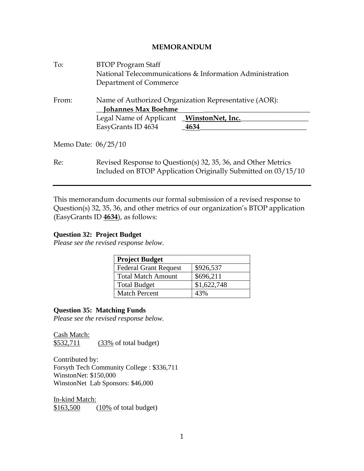# **MEMORANDUM**

| To:                 | <b>BTOP Program Staff</b>                                                                                                      |      |  |
|---------------------|--------------------------------------------------------------------------------------------------------------------------------|------|--|
|                     | National Telecommunications & Information Administration                                                                       |      |  |
|                     | Department of Commerce                                                                                                         |      |  |
| From:               | Name of Authorized Organization Representative (AOR):<br><b>Johannes Max Boehme</b>                                            |      |  |
|                     | Legal Name of Applicant WinstonNet, Inc.                                                                                       |      |  |
|                     | EasyGrants ID 4634                                                                                                             | 4634 |  |
| Memo Date: 06/25/10 |                                                                                                                                |      |  |
| Re:                 | Revised Response to Question(s) 32, 35, 36, and Other Metrics<br>Included on BTOP Application Originally Submitted on 03/15/10 |      |  |

This memorandum documents our formal submission of a revised response to Question(s) 32, 35, 36, and other metrics of our organization's BTOP application (EasyGrants ID **4634**), as follows:

### **Question 32: Project Budget**

*Please see the revised response below.*

| <b>Project Budget</b>        |             |  |  |
|------------------------------|-------------|--|--|
| <b>Federal Grant Request</b> | \$926,537   |  |  |
| <b>Total Match Amount</b>    | \$696,211   |  |  |
| <b>Total Budget</b>          | \$1,622,748 |  |  |
| <b>Match Percent</b>         | 43%         |  |  |

# **Question 35: Matching Funds**

*Please see the revised response below.*

Cash Match: \$532,711 (33% of total budget)

Contributed by: Forsyth Tech Community College : \$336,711 WinstonNet: \$150,000 WinstonNet Lab Sponsors: \$46,000

In-kind Match: \$163,500 (10% of total budget)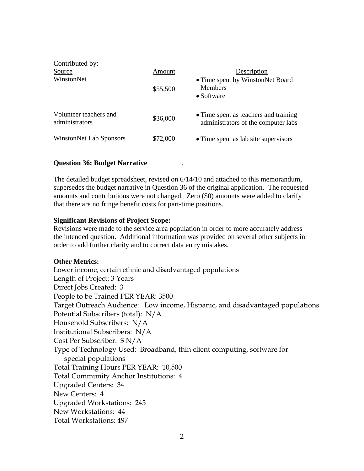| Contributed by:<br>Source<br>WinstonNet  | Amount<br>\$55,500 | Description<br>• Time spent by WinstonNet Board<br><b>Members</b><br>$\bullet$ Software |
|------------------------------------------|--------------------|-----------------------------------------------------------------------------------------|
| Volunteer teachers and<br>administrators | \$36,000           | • Time spent as teachers and training<br>administrators of the computer labs            |
| <b>WinstonNet Lab Sponsors</b>           | \$72,000           | • Time spent as lab site supervisors                                                    |

# **Question 36: Budget Narrative** *.*

The detailed budget spreadsheet, revised on 6/14/10 and attached to this memorandum, supersedes the budget narrative in Question 36 of the original application. The requested amounts and contributions were not changed. Zero (\$0) amounts were added to clarify that there are no fringe benefit costs for part-time positions.

### **Significant Revisions of Project Scope:**

Revisions were made to the service area population in order to more accurately address the intended question. Additional information was provided on several other subjects in order to add further clarity and to correct data entry mistakes.

### **Other Metrics:**

Lower income, certain ethnic and disadvantaged populations Length of Project: 3 Years Direct Jobs Created: 3 People to be Trained PER YEAR: 3500 Target Outreach Audience: Low income, Hispanic, and disadvantaged populations Potential Subscribers (total): N/A Household Subscribers: N/A Institutional Subscribers: N/A Cost Per Subscriber: \$ N/A Type of Technology Used: Broadband, thin client computing, software for special populations Total Training Hours PER YEAR: 10,500 Total Community Anchor Institutions: 4 Upgraded Centers: 34 New Centers: 4 Upgraded Workstations: 245 New Workstations: 44 Total Workstations: 497